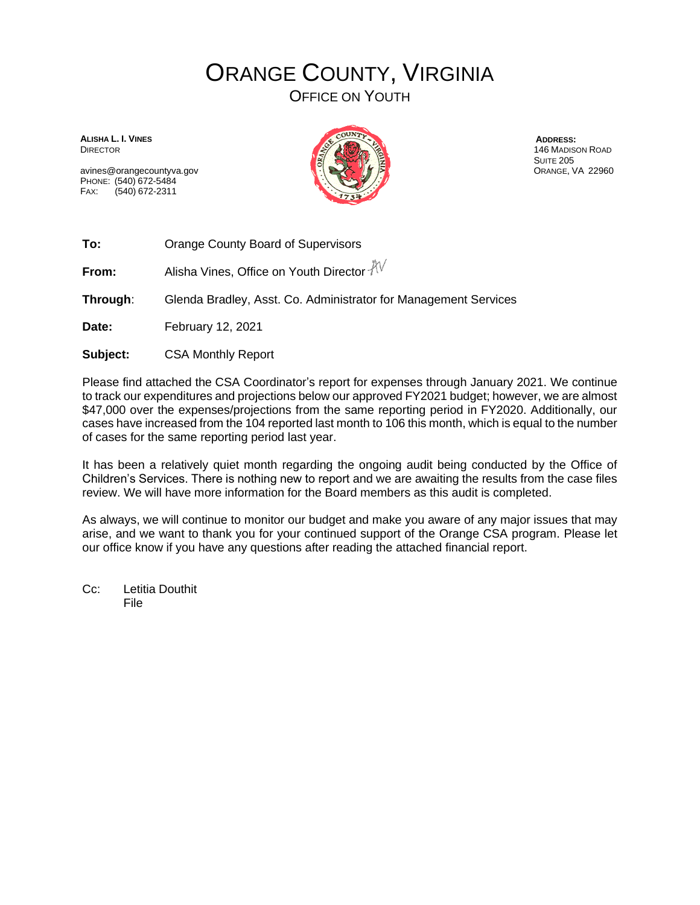## ORANGE COUNTY, VIRGINIA OFFICE ON YOUTH

**ALISHA L. I. VINES** DIRECTOR

avines@orangecountyva.gov PHONE: (540) 672-5484 FAX: (540) 672-2311



**ADDRESS:** 146 MADISON ROAD **SUITE 205** ORANGE, VA 22960

**To:** Orange County Board of Supervisors

**From:** Alisha Vines, Office on Youth Director  $\sqrt[3]{V}$ 

**Through**: Glenda Bradley, Asst. Co. Administrator for Management Services

**Date:** February 12, 2021

**Subject:** CSA Monthly Report

Please find attached the CSA Coordinator's report for expenses through January 2021. We continue to track our expenditures and projections below our approved FY2021 budget; however, we are almost \$47,000 over the expenses/projections from the same reporting period in FY2020. Additionally, our cases have increased from the 104 reported last month to 106 this month, which is equal to the number of cases for the same reporting period last year.

It has been a relatively quiet month regarding the ongoing audit being conducted by the Office of Children's Services. There is nothing new to report and we are awaiting the results from the case files review. We will have more information for the Board members as this audit is completed.

As always, we will continue to monitor our budget and make you aware of any major issues that may arise, and we want to thank you for your continued support of the Orange CSA program. Please let our office know if you have any questions after reading the attached financial report.

Cc: Letitia Douthit File